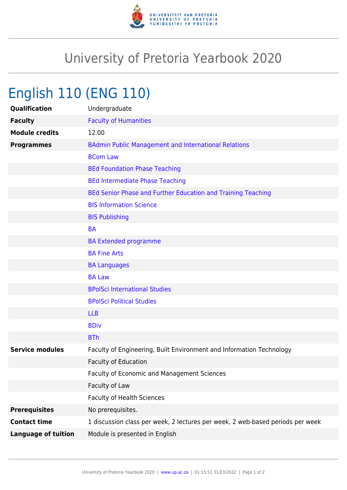

# University of Pretoria Yearbook 2020

# English 110 (ENG 110)

| Qualification              | Undergraduate                                                                  |
|----------------------------|--------------------------------------------------------------------------------|
| <b>Faculty</b>             | <b>Faculty of Humanities</b>                                                   |
| <b>Module credits</b>      | 12.00                                                                          |
| <b>Programmes</b>          | <b>BAdmin Public Management and International Relations</b>                    |
|                            | <b>BCom Law</b>                                                                |
|                            | <b>BEd Foundation Phase Teaching</b>                                           |
|                            | <b>BEd Intermediate Phase Teaching</b>                                         |
|                            | BEd Senior Phase and Further Education and Training Teaching                   |
|                            | <b>BIS Information Science</b>                                                 |
|                            | <b>BIS Publishing</b>                                                          |
|                            | <b>BA</b>                                                                      |
|                            | <b>BA Extended programme</b>                                                   |
|                            | <b>BA Fine Arts</b>                                                            |
|                            | <b>BA Languages</b>                                                            |
|                            | <b>BA Law</b>                                                                  |
|                            | <b>BPolSci International Studies</b>                                           |
|                            | <b>BPolSci Political Studies</b>                                               |
|                            | <b>LLB</b>                                                                     |
|                            | <b>BDiv</b>                                                                    |
|                            | <b>BTh</b>                                                                     |
| <b>Service modules</b>     | Faculty of Engineering, Built Environment and Information Technology           |
|                            | <b>Faculty of Education</b>                                                    |
|                            | Faculty of Economic and Management Sciences                                    |
|                            | Faculty of Law                                                                 |
|                            | <b>Faculty of Health Sciences</b>                                              |
| <b>Prerequisites</b>       | No prerequisites.                                                              |
| <b>Contact time</b>        | 1 discussion class per week, 2 lectures per week, 2 web-based periods per week |
| <b>Language of tuition</b> | Module is presented in English                                                 |